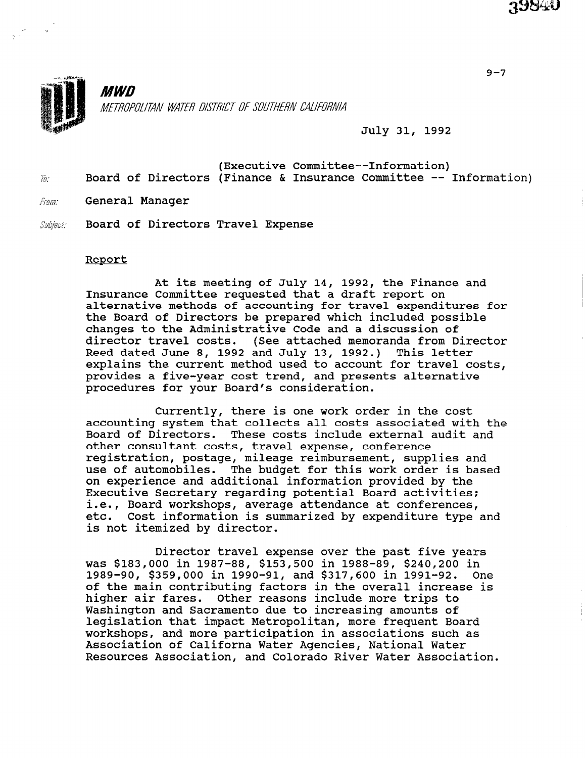

**MWD** METROPOLITAN WATER DISTRICT OF SOUTHERN CALIFORNIA

July 31, 1992

- (Executive Committee--Information)  $\tilde{w}$  Board of Directors (Finance & Insurance Committee -- Information)
- From: General Manager
- Subject: Board of Directors Travel Expense

#### Report

At its meeting of July 14, 1992, the Finance and Insurance Committee requested that a draft report on alternative methods of accounting for travel expenditures for the Board of Directors be prepared which included possible changes to the Administrative Code and a discussion of director travel costs. (See attached memoranda from Director Reed dated June 8, 1992 and July 13, 1992.) This letter explains the current method used to account for travel costs, provides a five-year cost trend, and presents alternative procedures for your Board's consideration.

Currently, there is one work order in the cost accounting system that collects all costs associated with the Board of Directors. These costs include external audit and other consultant costs, travel expense, conference registration, postage, mileage reimbursement, supplies and use of automobiles. The budget for this work order is based on experience and additional information provided by the Executive Secretary regarding potential Board activities; i.e., Board workshops, average attendance at conferences, etc. Cost information is summarized by expenditure type and is not itemized by director.

Director travel expense over the past five years was \$183,000 in 1987-88, \$153,500 in 1988-89, \$240,200 in 1989-90, \$359,000 in 1990-91, and \$317,600 in 1991-92. One of the main contributing factors in the overall increase is higher air fares. Other reasons include more trips to Washington and Sacramento due to increasing amounts of mashington and sacramento due to increasing amounts of workshops, and more participation in associations such as workshops, and more participation in associations such as Association of Californa Water Agencies, National Water<br>Resources Association, and Colorado River Water Association.

9-7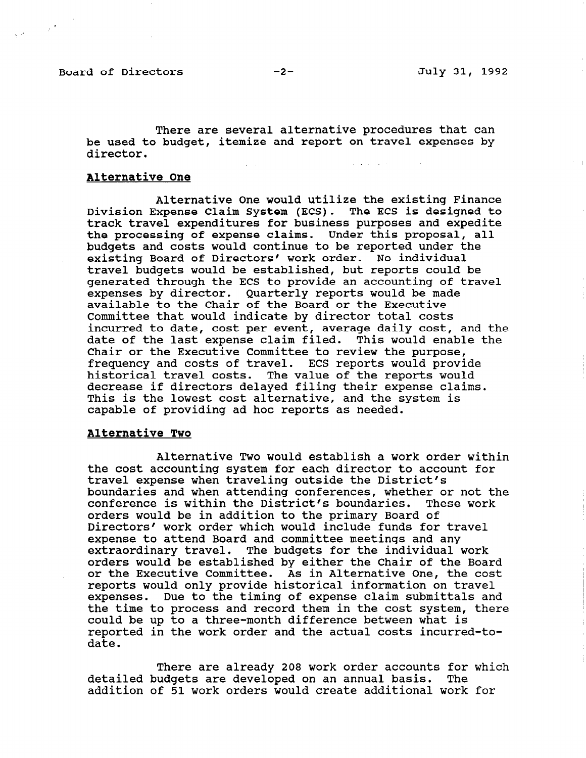Board of Directors -2- July 31, 1992

 $\sim$ 

There are several alternative procedures that can be used to budget, itemize and report on travel expenses by director. .-

# Alternative One

Alternative One would utilize the existing Finance Division Expense Claim System (ECS). The ECS is designed to track travel expenditures for business purposes and expedite the processing of expense claims. Under this proposal, all budgets and costs would continue to be reported under the existing Board of Directors' work order. No individual travel budgets would be established, but reports could be generated through the ECS to provide an accounting of travel expenses by director. Quarterly reports would be made available to the Chair of the Board or the Executive Committee that would indicate by director total costs incurred to date, cost per event, average daily cost, and the date of the last expense claim filed. This would enable the Chair or the Executive Committee to review the purpose, frequency and costs of travel. ECS reports would provide historical travel costs. The value of the reports would decrease if directors delayed filing their expense claims. This is the lowest cost alternative, and the system is capable of providing ad hoc reports as needed.

### Alternative Two

Alternative Two would establish a work order within the cost accounting system for each director to account for travel expense when traveling outside the District's boundaries and when attending conferences, whether or not the conference is within the District's boundaries. These work orders would be in addition to the primary Board of Directors' work order which would include funds for travel expense to attend Board and committee meetings and any extraordinary travel. The budgets for the individual work orders would be established by either the Chair of the Board or the Executive Committee. As in Alternative One, the cost reports would only provide historical information on travel experies would only provide installed information on travel the time to process and record them in the cost system, then the time to process and record them in the cost system, there could be up to a three-month difference between what is<br>reported in the work order and the actual costs incurred-todate.

There are already 208 work order accounts for which detailed budgets are developed on an annual basis. The contract of the state of the state of the state of the state of the state of the state of the state of the state of the state of the state of the state of the state of detailed budgets are developed on an annual basis. The<br>addition of 51 work orders would create additional work for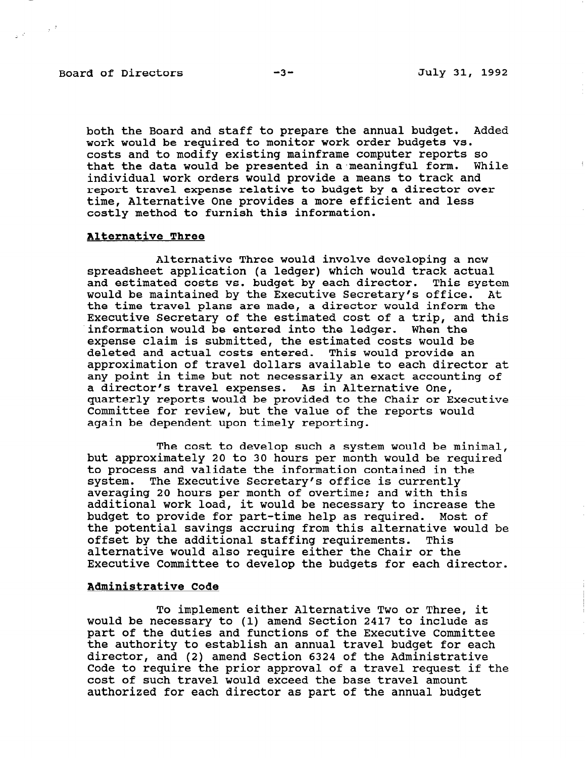# Board of Directors -3- -3- July 31, 1992

 $\label{eq:2.1} \frac{1}{2\sqrt{2}}\left(\frac{1}{\sqrt{2}}\right)^{1/2} \left(\frac{1}{2}\right)^{1/2}.$ 

both the Board and staff to prepare the annual budget. Added work would be required to monitor work order budgets vs. costs and to modify existing mainframe computer reports so that the data would be presented in a meaningful form. While individual work orders would provide a means to track and report travel expense relative to budget by a director over time, Alternative One provides a more efficient and less costly method to furnish this information.

#### Alternative Three

Alternative Three would involve developing a new spreadsheet application (a ledger) which would track actual and estimated costs vs. budget by each director. This system would be maintained by the Executive Secretary's office. At the time travel plans are made, a director would inform the Executive Secretary of the estimated cost of a trip, and this information would be entered into the ledger. When the expense claim is submitted, the estimated costs would be deleted and actual costs entered. This would provide an approximation of travel dollars available to each director at any point in time but not necessarily an exact accounting of a director's travel expenses. As in Alternative One, quarterly reports would be provided to the Chair or Executive Committee for review, but the value of the reports would again be dependent upon timely reporting.

The cost to develop such a system would be minimal, but approximately 20 to 30 hours per month would be required to process and validate the information contained in the system. The Executive Secretary's office is currently averaging 20 hours per month of overtime; and with this additional work load, it would be necessary to increase the budget to provide for part-time help as required. Most of the potential savings accruing from this alternative would be offset by the additional staffing requirements. This alternative would also require either the Chair or the Executive Committee to develop the budgets for each director.

### Administrative Code

To implement either Alternative Two or Three, it IO IMPICMENT CITHEL AITEMINITY TWO OF THEE, IT would be necessary to (i) amend section 2417 to include as part of the duties and functions of the Executive Committee the authority to establish an annual travel budget for each director, and (2) amend Section 6324 of the Administrative Code to require the prior approval of a travel request if the cost of such travel would exceed the base travel amount authorized for each director as part of the annual budget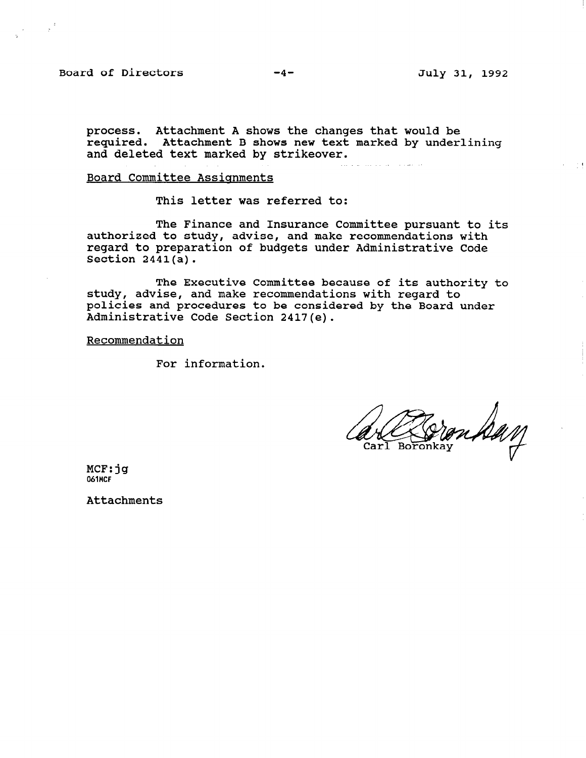Board of Directors -4- July 31, 1992

 $\sim$  1

process. Attachment A shows the changes that would be .<br>required. Attachment B shows new text marked by underlin and deleted text marked by strikeover.

and the company of the company of the

# Board Committee Assignments

This letter was referred to:

The Finance and Insurance Committee pursuant to its authorized to study, advise, and make recommendations with regard to preparation of budgets under Administrative Code Section  $2441(a)$ .

The Executive Committee because of its authority to study, advise, and make recommendations with regard to policies and procedures to be considered by the Board under Administrative Code Section 2417(e).

Recommendation

For information.

MCF:jg 061MCF

**Attachments**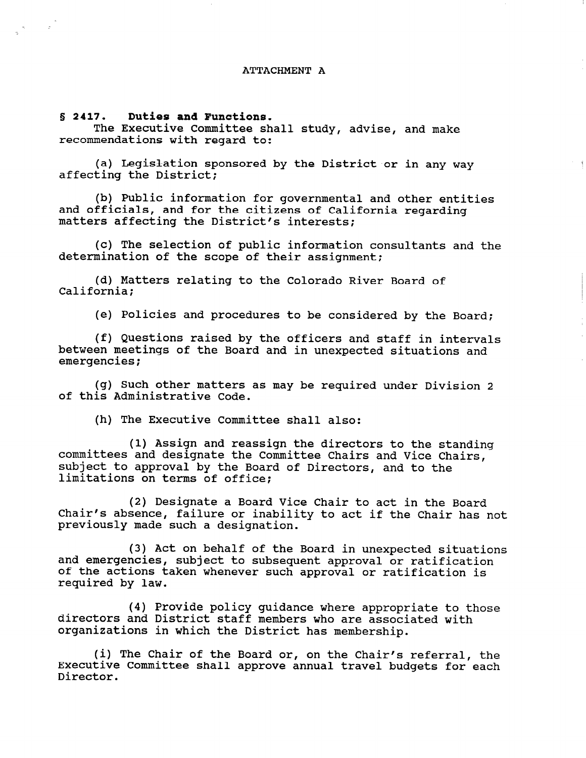#### ATTACHMENT A

S 2417. Duties and Functions.

 $\label{eq:2.1} \begin{array}{ccccc} \mathcal{R} & & & & \mathcal{R} \\ \mathcal{R} & & & & \mathcal{L} \\ \mathcal{B} & & & & \mathcal{L} \end{array}$ 

The Executive Committee shall study, advise, and make recommendations with regard to:

(a) Legislation sponsored by the District or in any way affecting the District;

(b) Public information for governmental and other entities and officials, and for the citizens of California regarding matters affecting the District's interests;

 $\gamma = 4$ 

(c) The selection of public information consultants and the determination of the scope of their assignment;

(d) Matters relating to the Colorado River Board of California;

(e) Policies and procedures to be considered by the Board;

(f) Questions raised by the officers and staff in intervals between meetings of the Board and in unexpected situations and emergencies;

(g) Such other matters as may be required under Division 2 of this Administrative Code.

(h) The Executive Committee shall also:

(1) Assign and reassign the directors to the standing committees and designate the Committee Chairs and Vice Chairs, subject to approval by the Board of Directors, and to the limitations on terms of office;

(2) Designate a Board Vice Chair to act in the Board Chair's absence, failure or inability to act if the Chair has not previously made such a designation.

(3) Act on behalf of the Board in unexpected situations (3) ACL ON DENAIL OF THE BOARD IN UNEXPECTED SITE and emergencies, subject to subsequent approval or ratification<br>of the estimateles shares we welcomes in isite it. of the actions taken whenever such approval or ratification is required by law.

 $(4)$  Provide policy guidance phase approximately to those (4) PLOVIDE POILCY GUIDANCE WHERE APPROPRIATE TO directors and District staff members who are associated with organizations in which the District has membership.

(i) The Chair of the Board or, on the Chair  $\epsilon$  referred, the Chair  $\epsilon$ (1) The Chair of the Board or, on the Chair's referral, the Executive Committee shall approve annual travel budgets for each Director.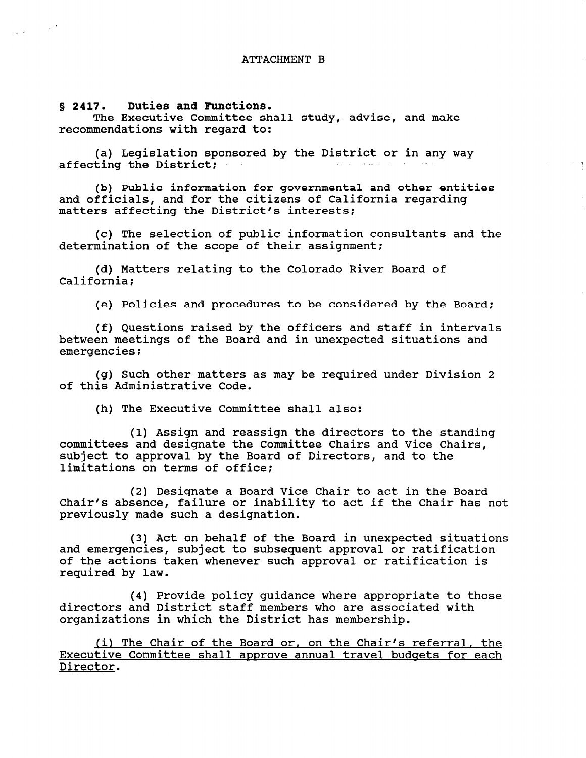#### 8 2417. Duties and Functions.

 $\sim \sqrt{2}$ 

 $\omega$  ,  $\omega$  ,  $\omega$ 

The Executive Committee shall study, advise, and make recommendations with regard to:

(a) Legislation sponsored by the District or in any way affecting the District;

(b) Public information for governmental and other entities and officials, and for the citizens of California regarding matters affecting the District's interests;

 $\rightarrow -q$ 

(c) The selection of public information consultants and the determination of the scope of their assignment;

(d) Matters relating to the Colorado River Board of California;

(e) Policies and procedures to be considered by the Board:

(f) Questions raised by the officers and staff in intervals between meetings of the Board and in unexpected situations and emergencies;

(g) Such other matters as may be required under Division 2 of this Administrative Code.

(h) The Executive Committee shall also:

(1) Assign and reassign the directors to the standing committees and designate the Committee Chairs and Vice Chairs, subject to approval by the Board of Directors, and to the limitations on terms of office;

(2) Designate a Board Vice Chair to act in the Board Chair's absence, failure or inability to act if the Chair has not previously made such a designation.

(3) Act on behalf of the Board in unexpected situations and emergencies, subject to subsequent approval or ratification of the actions taken whenever such approval or ratification is required by law.

(4) Provide policy guidance where appropriate to those (4) FLOVIUS POILCY GUIUGHCS WHELE APPLOPITATE TO directors and District staff members who are associated with organizations in which the District has membership.

 $(1)$  The Chair of the Board or, on the Chairle referred, the <u>III INE CHAIF OF CHE BOARD OF, ON CHE CHAIF'S FEFERENT, CHE</u> Executive Committee shall approve annual travel budgets for each Director.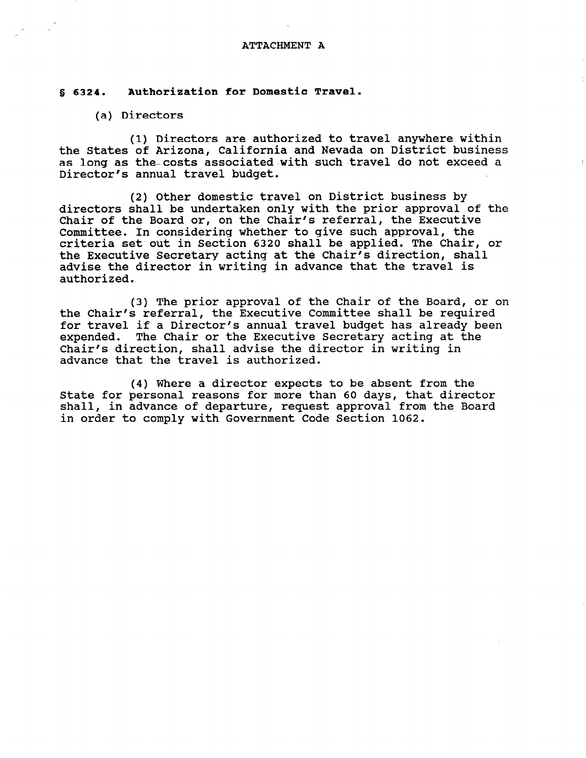#### ATTACHMENT A

# I 6324. Authorization for Domestic Travel.

# (a) Directors

(1) Directors are authorized to travel anywhere within the States of Arizona, California and Nevada on District business as long as the costs associated with such travel do not exceed a Director's annual travel budget.

(2) Other domestic travel on District business by directors shall be undertaken only with the prior approval of the Chair of the Board or, on the Chair's referral, the Executive Committee. In considering whether to give such approval, the criteria set out in Section 6320 shall be applied. The Chair, or the Executive Secretary acting at the Chair's direction, shall advise the director in writing in advance that the travel is authorized.

(3) The prior approval of the Chair of the Board, or on the Chair's referral, the Executive Committee shall be required for travel if a Director's annual travel budget has already been expended. The Chair or the Executive Secretary acting at the Chair's direction, shall advise the director in writing in advance that the travel is authorized.

(4) Where a director expects to be absent from the State for personal reasons for more than 60 days, that director shall, in advance of departure, request approval from the Board in order to comply with Government Code Section 1062.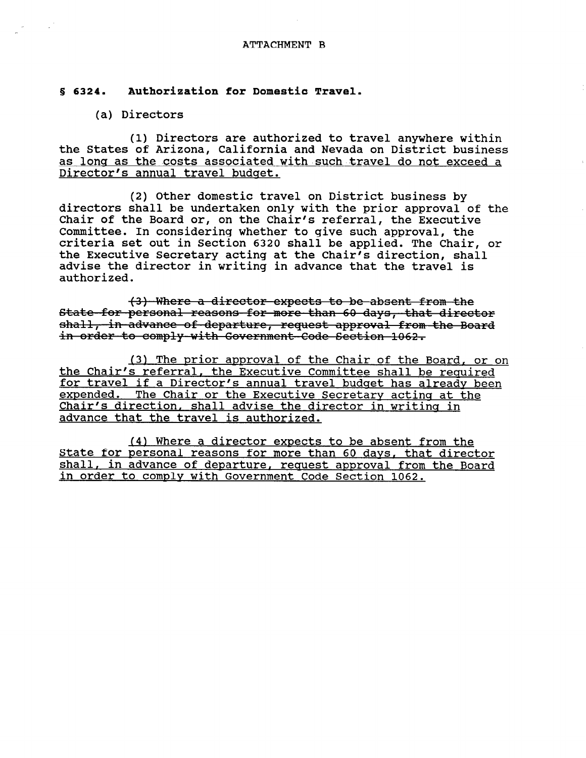## ATTACHMENT B

# 8 6324. Authorization for Domestic Travel.

# (a) Directors

(1) Directors are authorized to travel anywhere within the States of Arizona, California and Nevada on District business as long as the costs associated with such travel do not exceed a Director's annual travel budget.

(2) Other domestic travel on District business by directors shall be undertaken only with the prior approval of the Chair of the Board or, on the Chair's referral, the Executive Committee. In considering whether to give such approval, the criteria set out in Section 6320 shall be applied. The Chair, or the Executive Secretary acting at the Chair's direction, shall advise the director in writing in advance that the travel is authorized.

(3) Where a director expects to be absent from the State for personal reasons for more than 60 days, that director shall, in advance of departure, request approval from the Board in order to comply with Government Code Section 1062.

(3) The prior approval of the Chair of the Board, or on the Chair's referral, the Executive Committee shall be required for travel if a Director's annual travel budget has already been expended. The Chair or the Executive Secretary acting at the Chair's direction, shall advise the director in writing in advance that the travel is authorized.

(41 Where a director expects to be absent from the State for personal reasons for more than 60 days, that director shall, in advance of departure, request approval from the Board in order to comply with Government Code Section 1062.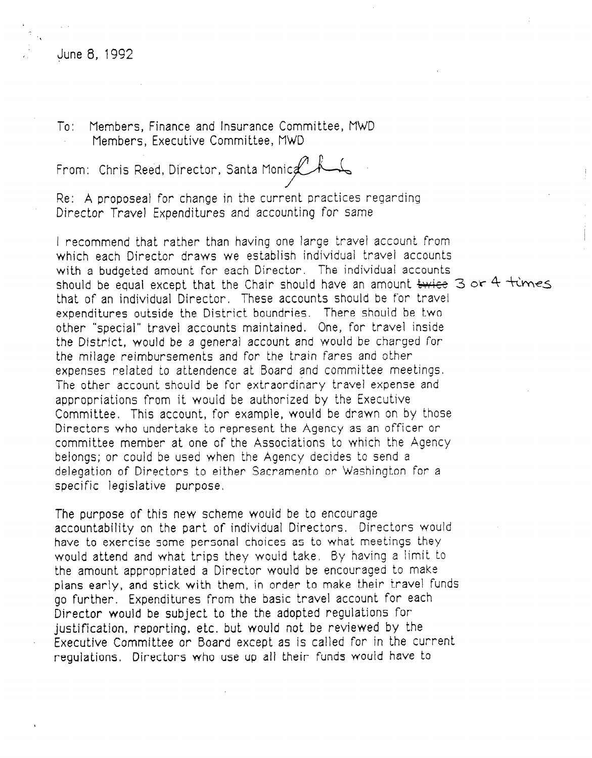# June 8, 1992

TO: Members, Finance and Insurance Committee, MWD Members, Executive Committee, MWD

From: Chris Reed, Director, Santa Manic P.

Re: A proposeal for change in the current practices regarding Director Travel Expenditures and accounting for same

I recommend that rather than having one large travel account from which each Director draws we establish individual travel accounts with a budgeted amount for each Director. The individual accounts should be equal except that the Chair should have an amount  $\frac{L}{L}$  and  $\frac{L}{L}$  are  $4 + \frac{L}{L}$ that of an individual Director. These accounts should be for travel expenditures outside the District boundries. There should be two other "special" travel accounts maintained. One, for travel inside the District, would be a general account and would be charged for the milage reimbursements and for the train fares and other expenses related to attendence at Board and committee meetings, The other account should be for extraordinary travel expense and appropriations from it would be authorized by the Executive Committee. This account, for example, would be drawn on by those Directors who undertake to represent the Agency as an officer or committee member at one of the Associations to which the Agency belongs; or could be used when the Agency decides to send a delegation of Directors to either Sacramento or Washington for a specific legislative purpose,

The purpose of this new scheme wouid be to encourage accountability on the part of individual Directors. Directors would have to exercise some personal choices as to what meetings they would attend and what trips they would take, By having a limit to the amount appropriated a Director would be encouraged to make plans early, and stick with them, in order to make their travel funds go further, Expenditures from the basic travel account for each Director would be subject to the the adopted regulations for justification, reporting, etc. but would not be reviewed by the Executive Committee or Board except as is called for in the current regulations. Directors who use up all their funds would have to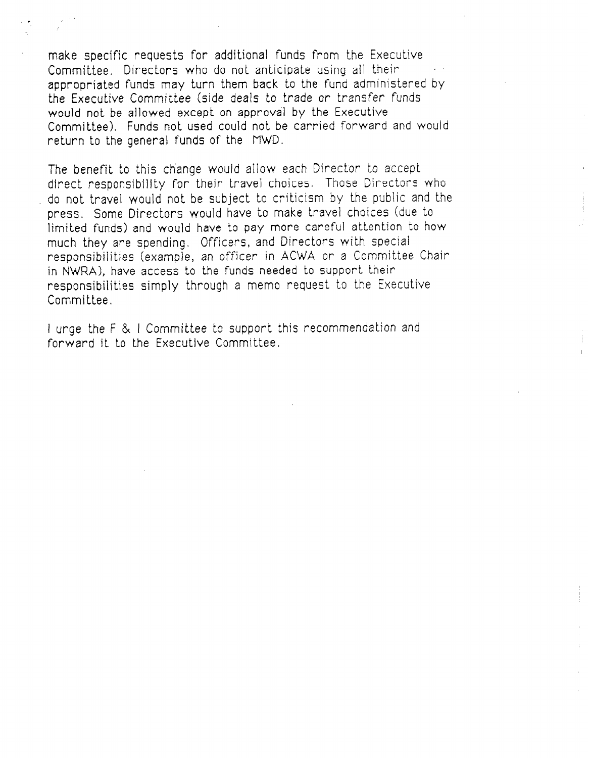make specific requests for additional funds from the Executive Committee, Directors who do not anticipate using ail their appropriated funds may turn them back to the fund administered by the Executive Committee (side deals to trade or transfer funds would not be allowed except on approval by the Executive Committee). Funds not used could not be carried forward and would return to the general funds of the MWD.

The benefit to this change would allow each Director to accept direct responsibility for their travel choices. Those Directors who do not travel would not be subject to criticism by the public and the press. Some Directors would have to make travel choices (due to limited funds) and would have to pay more careful attention to how much they are spending. Officers, and Directors with special responsibilities (example, an officer in ACWA or a Committee Chair in NWRA), have access to the funds needed to support their responsibilities simply through a memo request to the Executive Committee,

I urge the F & I Committee to support this recommendation and forward it to the Executive Committee.